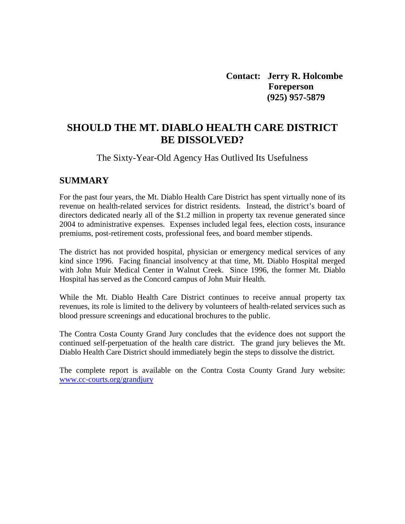**Contact: Jerry R. Holcombe Foreperson (925) 957-5879** 

## **SHOULD THE MT. DIABLO HEALTH CARE DISTRICT BE DISSOLVED?**

The Sixty-Year-Old Agency Has Outlived Its Usefulness

#### **SUMMARY**

For the past four years, the Mt. Diablo Health Care District has spent virtually none of its revenue on health-related services for district residents. Instead, the district's board of directors dedicated nearly all of the \$1.2 million in property tax revenue generated since 2004 to administrative expenses. Expenses included legal fees, election costs, insurance premiums, post-retirement costs, professional fees, and board member stipends.

The district has not provided hospital, physician or emergency medical services of any kind since 1996. Facing financial insolvency at that time, Mt. Diablo Hospital merged with John Muir Medical Center in Walnut Creek. Since 1996, the former Mt. Diablo Hospital has served as the Concord campus of John Muir Health.

While the Mt. Diablo Health Care District continues to receive annual property tax revenues, its role is limited to the delivery by volunteers of health-related services such as blood pressure screenings and educational brochures to the public.

The Contra Costa County Grand Jury concludes that the evidence does not support the continued self-perpetuation of the health care district. The grand jury believes the Mt. Diablo Health Care District should immediately begin the steps to dissolve the district.

The complete report is available on the Contra Costa County Grand Jury website: [www.cc-courts.org/grandjury](http://www.cc-courts.org/grandjury)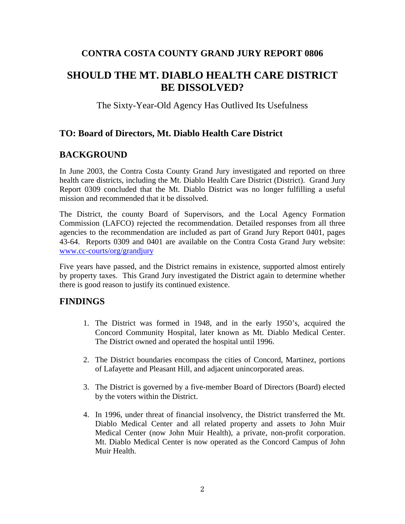## **CONTRA COSTA COUNTY GRAND JURY REPORT 0806**

## **SHOULD THE MT. DIABLO HEALTH CARE DISTRICT BE DISSOLVED?**

The Sixty-Year-Old Agency Has Outlived Its Usefulness

## **TO: Board of Directors, Mt. Diablo Health Care District**

## **BACKGROUND**

In June 2003, the Contra Costa County Grand Jury investigated and reported on three health care districts, including the Mt. Diablo Health Care District (District). Grand Jury Report 0309 concluded that the Mt. Diablo District was no longer fulfilling a useful mission and recommended that it be dissolved.

The District, the county Board of Supervisors, and the Local Agency Formation Commission (LAFCO) rejected the recommendation. Detailed responses from all three agencies to the recommendation are included as part of Grand Jury Report 0401, pages 43-64. Reports 0309 and 0401 are available on the Contra Costa Grand Jury website: [www.cc-courts/org/grandjury](http://www.cc-courts/org/grandjury)

Five years have passed, and the District remains in existence, supported almost entirely by property taxes. This Grand Jury investigated the District again to determine whether there is good reason to justify its continued existence.

## **FINDINGS**

- 1. The District was formed in 1948, and in the early 1950's, acquired the Concord Community Hospital, later known as Mt. Diablo Medical Center. The District owned and operated the hospital until 1996.
- 2. The District boundaries encompass the cities of Concord, Martinez, portions of Lafayette and Pleasant Hill, and adjacent unincorporated areas.
- 3. The District is governed by a five-member Board of Directors (Board) elected by the voters within the District.
- 4. In 1996, under threat of financial insolvency, the District transferred the Mt. Diablo Medical Center and all related property and assets to John Muir Medical Center (now John Muir Health), a private, non-profit corporation. Mt. Diablo Medical Center is now operated as the Concord Campus of John Muir Health.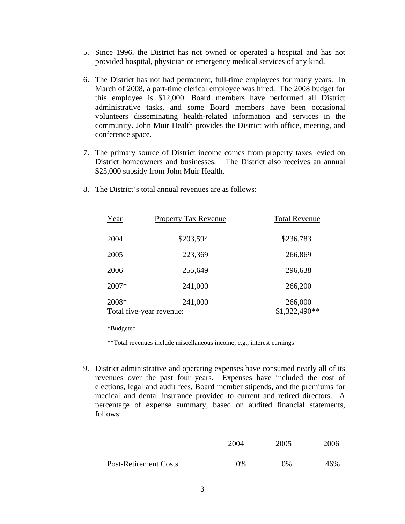- 5. Since 1996, the District has not owned or operated a hospital and has not provided hospital, physician or emergency medical services of any kind.
- 6. The District has not had permanent, full-time employees for many years. In March of 2008, a part-time clerical employee was hired. The 2008 budget for this employee is \$12,000. Board members have performed all District administrative tasks, and some Board members have been occasional volunteers disseminating health-related information and services in the community. John Muir Health provides the District with office, meeting, and conference space.
- 7. The primary source of District income comes from property taxes levied on District homeowners and businesses. The District also receives an annual \$25,000 subsidy from John Muir Health.

| Year  | Property Tax Revenue                | <b>Total Revenue</b>      |  |
|-------|-------------------------------------|---------------------------|--|
| 2004  | \$203,594                           | \$236,783                 |  |
| 2005  | 223,369                             | 266,869                   |  |
| 2006  | 255,649                             | 296,638                   |  |
| 2007* | 241,000                             | 266,200                   |  |
| 2008* | 241,000<br>Total five-year revenue: | 266,000<br>$$1,322,490**$ |  |

8. The District's total annual revenues are as follows:

\*Budgeted

\*\*Total revenues include miscellaneous income; e.g., interest earnings

9. District administrative and operating expenses have consumed nearly all of its revenues over the past four years. Expenses have included the cost of elections, legal and audit fees, Board member stipends, and the premiums for medical and dental insurance provided to current and retired directors. A percentage of expense summary, based on audited financial statements, follows:

|                       | 2004       | 2005 | 2006 |
|-----------------------|------------|------|------|
|                       |            |      |      |
| Post-Retirement Costs | $\Omega\%$ | 0%   | 46%  |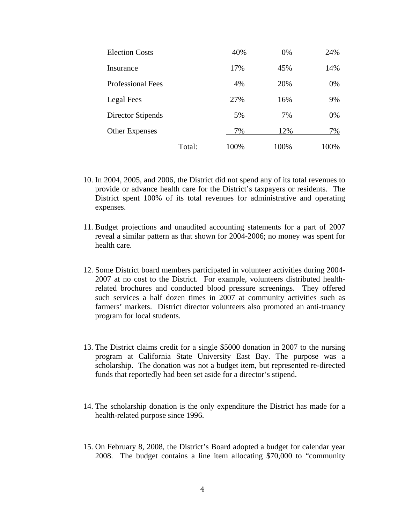| <b>Election Costs</b>    |        | 40%  | 0%   | 24%  |
|--------------------------|--------|------|------|------|
| Insurance                |        | 17%  | 45%  | 14%  |
| <b>Professional Fees</b> |        | 4%   | 20%  | 0%   |
| Legal Fees               |        | 27%  | 16%  | 9%   |
| Director Stipends        |        | 5%   | 7%   | 0%   |
| <b>Other Expenses</b>    |        | 7%   | 12%  | 7%   |
|                          | Total: | 100% | 100% | 100% |

- 10. In 2004, 2005, and 2006, the District did not spend any of its total revenues to provide or advance health care for the District's taxpayers or residents. The District spent 100% of its total revenues for administrative and operating expenses.
- 11. Budget projections and unaudited accounting statements for a part of 2007 reveal a similar pattern as that shown for 2004-2006; no money was spent for health care.
- 12. Some District board members participated in volunteer activities during 2004- 2007 at no cost to the District. For example, volunteers distributed healthrelated brochures and conducted blood pressure screenings. They offered such services a half dozen times in 2007 at community activities such as farmers' markets. District director volunteers also promoted an anti-truancy program for local students.
- 13. The District claims credit for a single \$5000 donation in 2007 to the nursing program at California State University East Bay. The purpose was a scholarship. The donation was not a budget item, but represented re-directed funds that reportedly had been set aside for a director's stipend.
- 14. The scholarship donation is the only expenditure the District has made for a health-related purpose since 1996.
- 15. On February 8, 2008, the District's Board adopted a budget for calendar year 2008. The budget contains a line item allocating \$70,000 to "community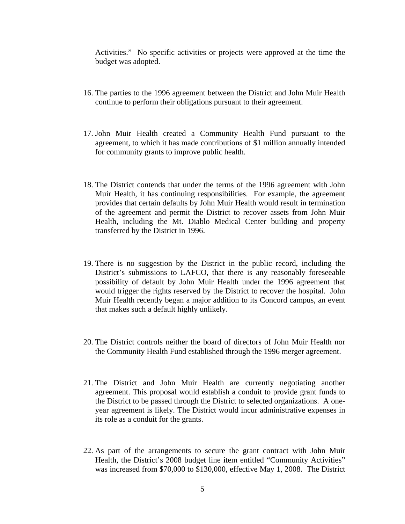Activities." No specific activities or projects were approved at the time the budget was adopted.

- 16. The parties to the 1996 agreement between the District and John Muir Health continue to perform their obligations pursuant to their agreement.
- 17. John Muir Health created a Community Health Fund pursuant to the agreement, to which it has made contributions of \$1 million annually intended for community grants to improve public health.
- 18. The District contends that under the terms of the 1996 agreement with John Muir Health, it has continuing responsibilities. For example, the agreement provides that certain defaults by John Muir Health would result in termination of the agreement and permit the District to recover assets from John Muir Health, including the Mt. Diablo Medical Center building and property transferred by the District in 1996.
- 19. There is no suggestion by the District in the public record, including the District's submissions to LAFCO, that there is any reasonably foreseeable possibility of default by John Muir Health under the 1996 agreement that would trigger the rights reserved by the District to recover the hospital. John Muir Health recently began a major addition to its Concord campus, an event that makes such a default highly unlikely.
- 20. The District controls neither the board of directors of John Muir Health nor the Community Health Fund established through the 1996 merger agreement.
- 21. The District and John Muir Health are currently negotiating another agreement. This proposal would establish a conduit to provide grant funds to the District to be passed through the District to selected organizations. A oneyear agreement is likely. The District would incur administrative expenses in its role as a conduit for the grants.
- 22. As part of the arrangements to secure the grant contract with John Muir Health, the District's 2008 budget line item entitled "Community Activities" was increased from \$70,000 to \$130,000, effective May 1, 2008. The District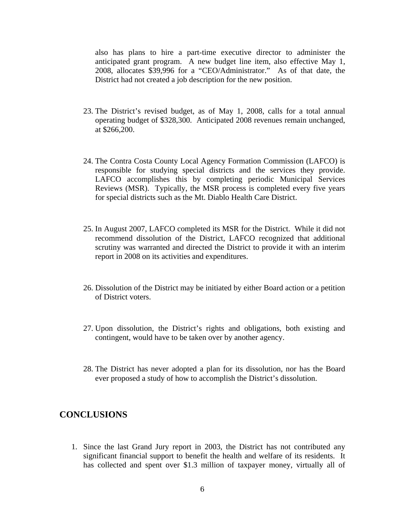also has plans to hire a part-time executive director to administer the anticipated grant program. A new budget line item, also effective May 1, 2008, allocates \$39,996 for a "CEO/Administrator." As of that date, the District had not created a job description for the new position.

- 23. The District's revised budget, as of May 1, 2008, calls for a total annual operating budget of \$328,300. Anticipated 2008 revenues remain unchanged, at \$266,200.
- 24. The Contra Costa County Local Agency Formation Commission (LAFCO) is responsible for studying special districts and the services they provide. LAFCO accomplishes this by completing periodic Municipal Services Reviews (MSR). Typically, the MSR process is completed every five years for special districts such as the Mt. Diablo Health Care District.
- 25. In August 2007, LAFCO completed its MSR for the District. While it did not recommend dissolution of the District, LAFCO recognized that additional scrutiny was warranted and directed the District to provide it with an interim report in 2008 on its activities and expenditures.
- 26. Dissolution of the District may be initiated by either Board action or a petition of District voters.
- 27. Upon dissolution, the District's rights and obligations, both existing and contingent, would have to be taken over by another agency.
- 28. The District has never adopted a plan for its dissolution, nor has the Board ever proposed a study of how to accomplish the District's dissolution.

#### **CONCLUSIONS**

1. Since the last Grand Jury report in 2003, the District has not contributed any significant financial support to benefit the health and welfare of its residents. It has collected and spent over \$1.3 million of taxpayer money, virtually all of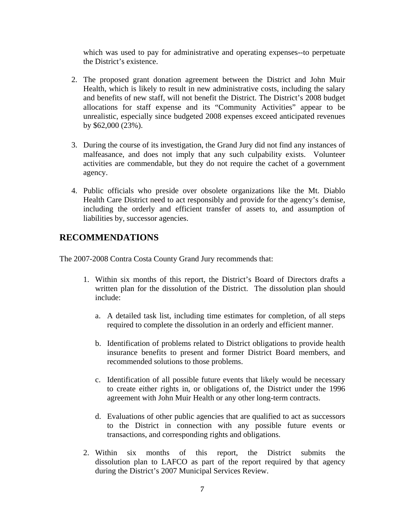which was used to pay for administrative and operating expenses--to perpetuate the District's existence.

- 2. The proposed grant donation agreement between the District and John Muir Health, which is likely to result in new administrative costs, including the salary and benefits of new staff, will not benefit the District. The District's 2008 budget allocations for staff expense and its "Community Activities" appear to be unrealistic, especially since budgeted 2008 expenses exceed anticipated revenues by \$62,000 (23%).
- 3. During the course of its investigation, the Grand Jury did not find any instances of malfeasance, and does not imply that any such culpability exists. Volunteer activities are commendable, but they do not require the cachet of a government agency.
- 4. Public officials who preside over obsolete organizations like the Mt. Diablo Health Care District need to act responsibly and provide for the agency's demise, including the orderly and efficient transfer of assets to, and assumption of liabilities by, successor agencies.

## **RECOMMENDATIONS**

The 2007-2008 Contra Costa County Grand Jury recommends that:

- 1. Within six months of this report, the District's Board of Directors drafts a written plan for the dissolution of the District. The dissolution plan should include:
	- a. A detailed task list, including time estimates for completion, of all steps required to complete the dissolution in an orderly and efficient manner.
	- b. Identification of problems related to District obligations to provide health insurance benefits to present and former District Board members, and recommended solutions to those problems.
	- c. Identification of all possible future events that likely would be necessary to create either rights in, or obligations of, the District under the 1996 agreement with John Muir Health or any other long-term contracts.
	- d. Evaluations of other public agencies that are qualified to act as successors to the District in connection with any possible future events or transactions, and corresponding rights and obligations.
- 2. Within six months of this report, the District submits the dissolution plan to LAFCO as part of the report required by that agency during the District's 2007 Municipal Services Review.